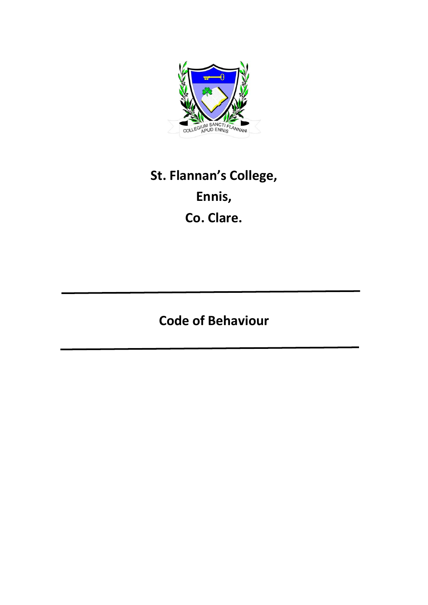

# **St. Flannan's College, Ennis, Co. Clare.**

# **Code of Behaviour**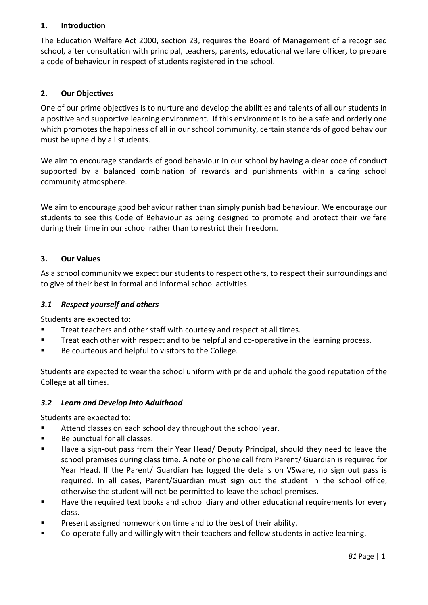# **1. Introduction**

The Education Welfare Act 2000, section 23, requires the Board of Management of a recognised school, after consultation with principal, teachers, parents, educational welfare officer, to prepare a code of behaviour in respect of students registered in the school.

# **2. Our Objectives**

One of our prime objectives is to nurture and develop the abilities and talents of all our students in a positive and supportive learning environment. If this environment is to be a safe and orderly one which promotes the happiness of all in our school community, certain standards of good behaviour must be upheld by all students.

We aim to encourage standards of good behaviour in our school by having a clear code of conduct supported by a balanced combination of rewards and punishments within a caring school community atmosphere.

We aim to encourage good behaviour rather than simply punish bad behaviour. We encourage our students to see this Code of Behaviour as being designed to promote and protect their welfare during their time in our school rather than to restrict their freedom.

# **3. Our Values**

As a school community we expect our students to respect others, to respect their surroundings and to give of their best in formal and informal school activities.

#### *3.1 Respect yourself and others*

Students are expected to:

- Treat teachers and other staff with courtesy and respect at all times.
- Treat each other with respect and to be helpful and co-operative in the learning process.
- Be courteous and helpful to visitors to the College.

Students are expected to wear the school uniform with pride and uphold the good reputation of the College at all times.

#### *3.2 Learn and Develop into Adulthood*

Students are expected to:

- Attend classes on each school day throughout the school year.
- Be punctual for all classes.
- Have a sign-out pass from their Year Head/ Deputy Principal, should they need to leave the school premises during class time. A note or phone call from Parent/ Guardian is required for Year Head. If the Parent/ Guardian has logged the details on VSware, no sign out pass is required. In all cases, Parent/Guardian must sign out the student in the school office, otherwise the student will not be permitted to leave the school premises.
- Have the required text books and school diary and other educational requirements for every class.
- Present assigned homework on time and to the best of their ability.
- Co-operate fully and willingly with their teachers and fellow students in active learning.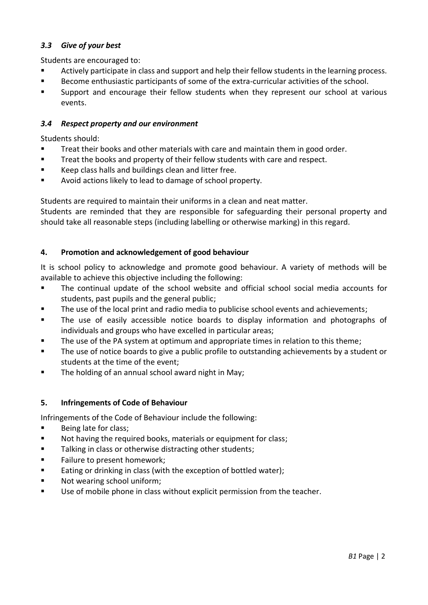# *3.3 Give of your best*

Students are encouraged to:

- Actively participate in class and support and help their fellow students in the learning process.
- Become enthusiastic participants of some of the extra-curricular activities of the school.
- Support and encourage their fellow students when they represent our school at various events.

#### *3.4 Respect property and our environment*

Students should:

- Treat their books and other materials with care and maintain them in good order.
- Treat the books and property of their fellow students with care and respect.
- Keep class halls and buildings clean and litter free.
- Avoid actions likely to lead to damage of school property.

Students are required to maintain their uniforms in a clean and neat matter.

Students are reminded that they are responsible for safeguarding their personal property and should take all reasonable steps (including labelling or otherwise marking) in this regard.

# **4. Promotion and acknowledgement of good behaviour**

It is school policy to acknowledge and promote good behaviour. A variety of methods will be available to achieve this objective including the following:

- The continual update of the school website and official school social media accounts for students, past pupils and the general public;
- The use of the local print and radio media to publicise school events and achievements;
- The use of easily accessible notice boards to display information and photographs of individuals and groups who have excelled in particular areas;
- The use of the PA system at optimum and appropriate times in relation to this theme;
- The use of notice boards to give a public profile to outstanding achievements by a student or students at the time of the event;
- The holding of an annual school award night in May;

#### **5. Infringements of Code of Behaviour**

Infringements of the Code of Behaviour include the following:

- Being late for class;
- Not having the required books, materials or equipment for class;
- Talking in class or otherwise distracting other students;
- Failure to present homework;
- Eating or drinking in class (with the exception of bottled water);
- Not wearing school uniform;
- Use of mobile phone in class without explicit permission from the teacher.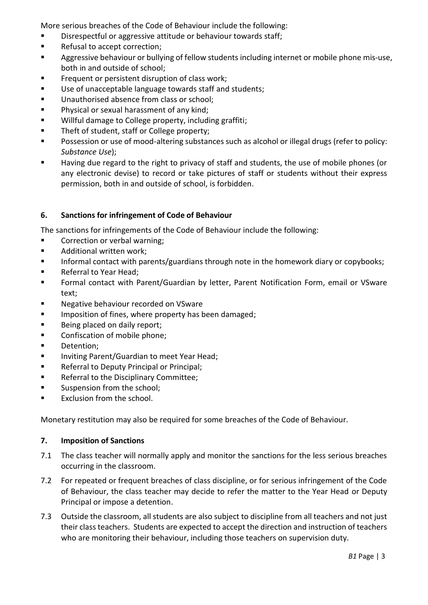More serious breaches of the Code of Behaviour include the following:

- Disrespectful or aggressive attitude or behaviour towards staff;
- Refusal to accept correction;
- Aggressive behaviour or bullying of fellow students including internet or mobile phone mis-use, both in and outside of school;
- **EXECUTE:** Frequent or persistent disruption of class work;
- Use of unacceptable language towards staff and students;
- Unauthorised absence from class or school;
- Physical or sexual harassment of any kind;
- Willful damage to College property, including graffiti;
- Theft of student, staff or College property;
- Possession or use of mood-altering substances such as alcohol or illegal drugs (refer to policy: *Substance Use*);
- Having due regard to the right to privacy of staff and students, the use of mobile phones (or any electronic devise) to record or take pictures of staff or students without their express permission, both in and outside of school, is forbidden.

# **6. Sanctions for infringement of Code of Behaviour**

The sanctions for infringements of the Code of Behaviour include the following:

- Correction or verbal warning;
- Additional written work;
- Informal contact with parents/guardians through note in the homework diary or copybooks;
- Referral to Year Head;
- Formal contact with Parent/Guardian by letter, Parent Notification Form, email or VSware text;
- Negative behaviour recorded on VSware
- Imposition of fines, where property has been damaged;
- Being placed on daily report;
- Confiscation of mobile phone;
- Detention;
- Inviting Parent/Guardian to meet Year Head;
- Referral to Deputy Principal or Principal;
- Referral to the Disciplinary Committee;
- Suspension from the school;
- Exclusion from the school.

Monetary restitution may also be required for some breaches of the Code of Behaviour.

#### **7. Imposition of Sanctions**

- 7.1 The class teacher will normally apply and monitor the sanctions for the less serious breaches occurring in the classroom.
- 7.2 For repeated or frequent breaches of class discipline, or for serious infringement of the Code of Behaviour, the class teacher may decide to refer the matter to the Year Head or Deputy Principal or impose a detention.
- 7.3 Outside the classroom, all students are also subject to discipline from all teachers and not just their class teachers. Students are expected to accept the direction and instruction of teachers who are monitoring their behaviour, including those teachers on supervision duty.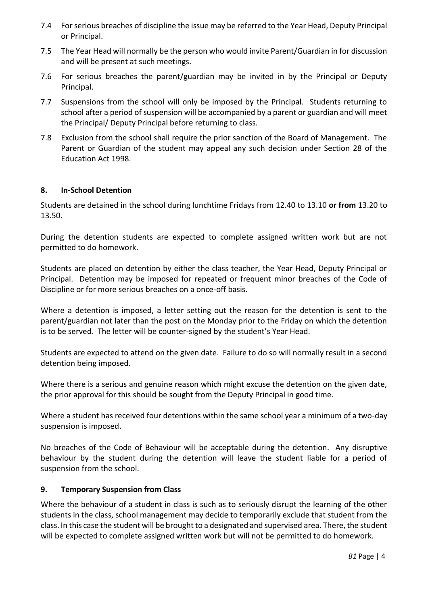- 7.4 For serious breaches of discipline the issue may be referred to the Year Head, Deputy Principal or Principal.
- 7.5 The Year Head will normally be the person who would invite Parent/Guardian in for discussion and will be present at such meetings.
- 7.6 For serious breaches the parent/guardian may be invited in by the Principal or Deputy Principal.
- 7.7 Suspensions from the school will only be imposed by the Principal. Students returning to school after a period of suspension will be accompanied by a parent or guardian and will meet the Principal/ Deputy Principal before returning to class.
- 7.8 Exclusion from the school shall require the prior sanction of the Board of Management. The Parent or Guardian of the student may appeal any such decision under Section 28 of the Education Act 1998.

# **8. In-School Detention**

Students are detained in the school during lunchtime Fridays from 12.40 to 13.10 **or from** 13.20 to 13.50.

During the detention students are expected to complete assigned written work but are not permitted to do homework.

Students are placed on detention by either the class teacher, the Year Head, Deputy Principal or Principal. Detention may be imposed for repeated or frequent minor breaches of the Code of Discipline or for more serious breaches on a once-off basis.

Where a detention is imposed, a letter setting out the reason for the detention is sent to the parent/guardian not later than the post on the Monday prior to the Friday on which the detention is to be served. The letter will be counter-signed by the student's Year Head.

Students are expected to attend on the given date. Failure to do so will normally result in a second detention being imposed.

Where there is a serious and genuine reason which might excuse the detention on the given date, the prior approval for this should be sought from the Deputy Principal in good time.

Where a student has received four detentions within the same school year a minimum of a two-day suspension is imposed.

No breaches of the Code of Behaviour will be acceptable during the detention. Any disruptive behaviour by the student during the detention will leave the student liable for a period of suspension from the school.

#### **9. Temporary Suspension from Class**

Where the behaviour of a student in class is such as to seriously disrupt the learning of the other students in the class, school management may decide to temporarily exclude that student from the class. In this case the student will be brought to a designated and supervised area. There, the student will be expected to complete assigned written work but will not be permitted to do homework.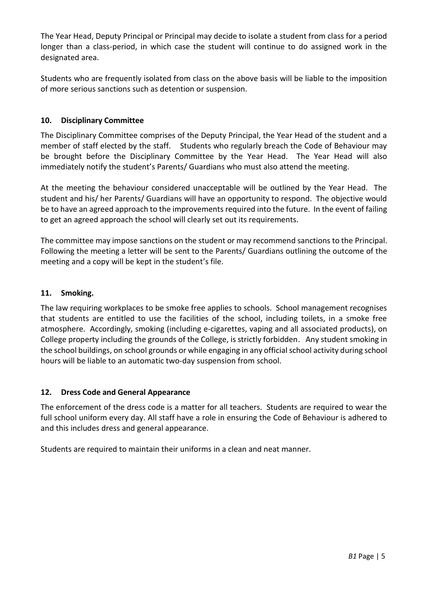The Year Head, Deputy Principal or Principal may decide to isolate a student from class for a period longer than a class-period, in which case the student will continue to do assigned work in the designated area.

Students who are frequently isolated from class on the above basis will be liable to the imposition of more serious sanctions such as detention or suspension.

# **10. Disciplinary Committee**

The Disciplinary Committee comprises of the Deputy Principal, the Year Head of the student and a member of staff elected by the staff. Students who regularly breach the Code of Behaviour may be brought before the Disciplinary Committee by the Year Head. The Year Head will also immediately notify the student's Parents/ Guardians who must also attend the meeting.

At the meeting the behaviour considered unacceptable will be outlined by the Year Head. The student and his/ her Parents/ Guardians will have an opportunity to respond. The objective would be to have an agreed approach to the improvements required into the future. In the event of failing to get an agreed approach the school will clearly set out its requirements.

The committee may impose sanctions on the student or may recommend sanctions to the Principal. Following the meeting a letter will be sent to the Parents/ Guardians outlining the outcome of the meeting and a copy will be kept in the student's file.

# **11. Smoking.**

The law requiring workplaces to be smoke free applies to schools. School management recognises that students are entitled to use the facilities of the school, including toilets, in a smoke free atmosphere. Accordingly, smoking (including e-cigarettes, vaping and all associated products), on College property including the grounds of the College, is strictly forbidden. Any student smoking in the school buildings, on school grounds or while engaging in any official school activity during school hours will be liable to an automatic two-day suspension from school.

# **12. Dress Code and General Appearance**

The enforcement of the dress code is a matter for all teachers. Students are required to wear the full school uniform every day. All staff have a role in ensuring the Code of Behaviour is adhered to and this includes dress and general appearance.

Students are required to maintain their uniforms in a clean and neat manner.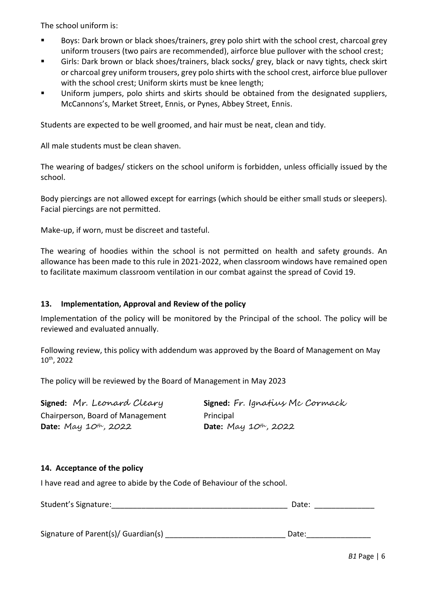The school uniform is:

- Boys: Dark brown or black shoes/trainers, grey polo shirt with the school crest, charcoal grey uniform trousers (two pairs are recommended), airforce blue pullover with the school crest;
- Girls: Dark brown or black shoes/trainers, black socks/ grey, black or navy tights, check skirt or charcoal grey uniform trousers, grey polo shirts with the school crest, airforce blue pullover with the school crest; Uniform skirts must be knee length;
- Uniform jumpers, polo shirts and skirts should be obtained from the designated suppliers, McCannons's, Market Street, Ennis, or Pynes, Abbey Street, Ennis.

Students are expected to be well groomed, and hair must be neat, clean and tidy.

All male students must be clean shaven.

The wearing of badges/ stickers on the school uniform is forbidden, unless officially issued by the school.

Body piercings are not allowed except for earrings (which should be either small studs or sleepers). Facial piercings are not permitted.

Make-up, if worn, must be discreet and tasteful.

The wearing of hoodies within the school is not permitted on health and safety grounds. An allowance has been made to this rule in 2021-2022, when classroom windows have remained open to facilitate maximum classroom ventilation in our combat against the spread of Covid 19.

#### **13. Implementation, Approval and Review of the policy**

Implementation of the policy will be monitored by the Principal of the school. The policy will be reviewed and evaluated annually.

Following review, this policy with addendum was approved by the Board of Management on May 10th, 2022

The policy will be reviewed by the Board of Management in May 2023

| Signed: Mr. Leonard Cleary          | Signed: Fr. Ignatius Mc Cormack     |
|-------------------------------------|-------------------------------------|
| Chairperson, Board of Management    | Principal                           |
| <b>Date:</b> May $10^{th}$ , $2022$ | <b>Date:</b> May $10^{th}$ , $2022$ |

#### **14. Acceptance of the policy**

I have read and agree to abide by the Code of Behaviour of the school.

| Student's Signature: | Date: |  |
|----------------------|-------|--|
|                      |       |  |

Signature of Parent(s)/ Guardian(s) \_\_\_\_\_\_\_\_\_\_\_\_\_\_\_\_\_\_\_\_\_\_\_\_\_\_\_\_ Date:\_\_\_\_\_\_\_\_\_\_\_\_\_\_\_

*B1* Page | 6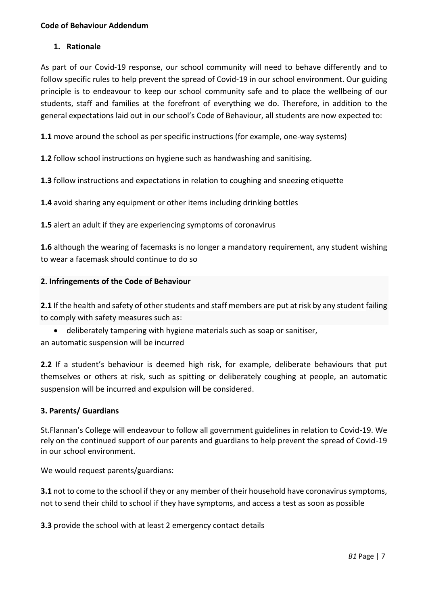# **1. Rationale**

As part of our Covid-19 response, our school community will need to behave differently and to follow specific rules to help prevent the spread of Covid-19 in our school environment. Our guiding principle is to endeavour to keep our school community safe and to place the wellbeing of our students, staff and families at the forefront of everything we do. Therefore, in addition to the general expectations laid out in our school's Code of Behaviour, all students are now expected to:

**1.1** move around the school as per specific instructions (for example, one-way systems)

**1.2** follow school instructions on hygiene such as handwashing and sanitising.

**1.3** follow instructions and expectations in relation to coughing and sneezing etiquette

**1.4** avoid sharing any equipment or other items including drinking bottles

**1.5** alert an adult if they are experiencing symptoms of coronavirus

**1.6** although the wearing of facemasks is no longer a mandatory requirement, any student wishing to wear a facemask should continue to do so

# **2. Infringements of the Code of Behaviour**

**2.1** If the health and safety of other students and staff members are put at risk by any student failing to comply with safety measures such as:

• deliberately tampering with hygiene materials such as soap or sanitiser, an automatic suspension will be incurred

**2.2** If a student's behaviour is deemed high risk, for example, deliberate behaviours that put themselves or others at risk, such as spitting or deliberately coughing at people, an automatic suspension will be incurred and expulsion will be considered.

#### **3. Parents/ Guardians**

St.Flannan's College will endeavour to follow all government guidelines in relation to Covid-19. We rely on the continued support of our parents and guardians to help prevent the spread of Covid-19 in our school environment.

We would request parents/guardians:

**3.1** not to come to the school if they or any member of their household have coronavirus symptoms, not to send their child to school if they have symptoms, and access a test as soon as possible

**3.3** provide the school with at least 2 emergency contact details